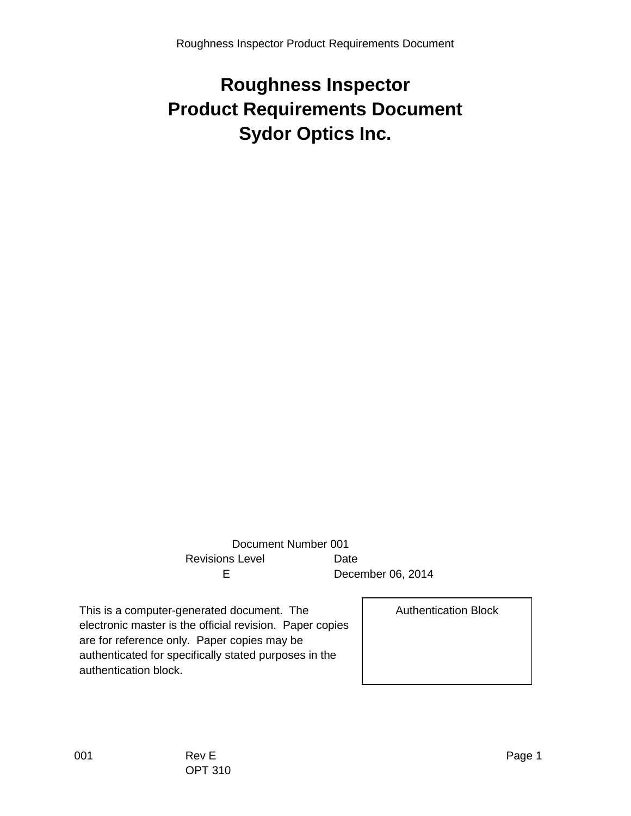# **Roughness Inspector Product Requirements Document Sydor Optics Inc.**

 Document Number 001 Revisions Level **Date** E December 06, 2014

This is a computer-generated document. The electronic master is the official revision. Paper copies are for reference only. Paper copies may be authenticated for specifically stated purposes in the authentication block.

Authentication Block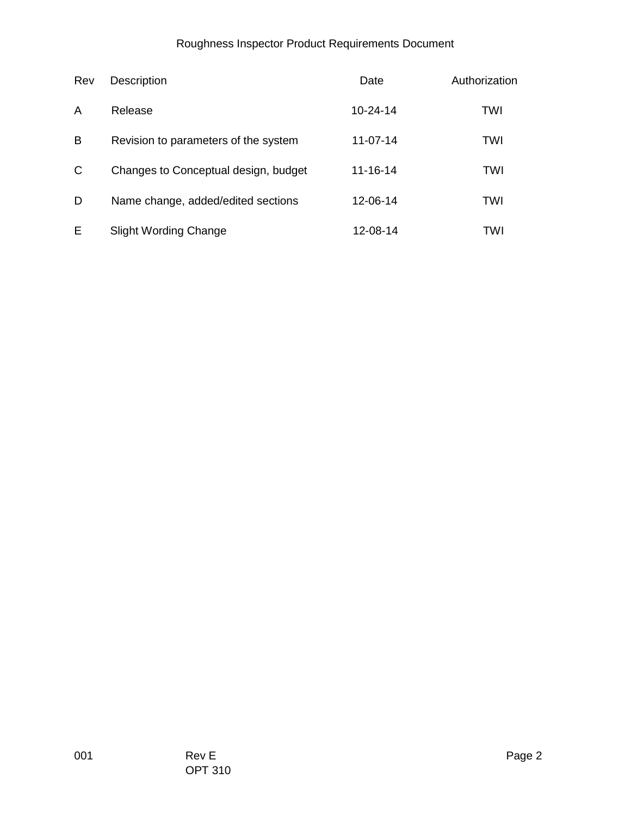#### Roughness Inspector Product Requirements Document

| Rev | Description                          | Date           | Authorization |
|-----|--------------------------------------|----------------|---------------|
| A   | Release                              | $10 - 24 - 14$ | TWI           |
| B   | Revision to parameters of the system | $11 - 07 - 14$ | <b>TWI</b>    |
| C   | Changes to Conceptual design, budget | $11 - 16 - 14$ | <b>TWI</b>    |
| D   | Name change, added/edited sections   | 12-06-14       | TWI           |
| Е   | <b>Slight Wording Change</b>         | 12-08-14       | TWI           |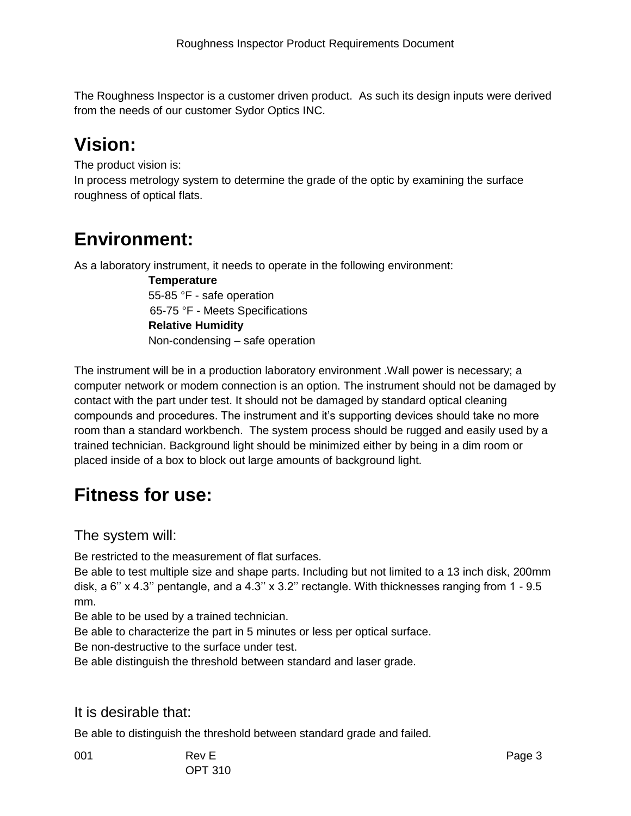The Roughness Inspector is a customer driven product. As such its design inputs were derived from the needs of our customer Sydor Optics INC.

# **Vision:**

The product vision is:

In process metrology system to determine the grade of the optic by examining the surface roughness of optical flats.

## **Environment:**

As a laboratory instrument, it needs to operate in the following environment:

 **Temperature** 55-85 °F - safe operation 65-75 °F - Meets Specifications **Relative Humidity** Non-condensing – safe operation

The instrument will be in a production laboratory environment .Wall power is necessary; a computer network or modem connection is an option. The instrument should not be damaged by contact with the part under test. It should not be damaged by standard optical cleaning compounds and procedures. The instrument and it's supporting devices should take no more room than a standard workbench. The system process should be rugged and easily used by a trained technician. Background light should be minimized either by being in a dim room or placed inside of a box to block out large amounts of background light.

## **Fitness for use:**

The system will:

Be restricted to the measurement of flat surfaces.

Be able to test multiple size and shape parts. Including but not limited to a 13 inch disk, 200mm disk, a 6'' x 4.3'' pentangle, and a 4.3'' x 3.2'' rectangle. With thicknesses ranging from 1 - 9.5 mm.

Be able to be used by a trained technician.

Be able to characterize the part in 5 minutes or less per optical surface.

Be non-destructive to the surface under test.

Be able distinguish the threshold between standard and laser grade.

#### It is desirable that:

Be able to distinguish the threshold between standard grade and failed.